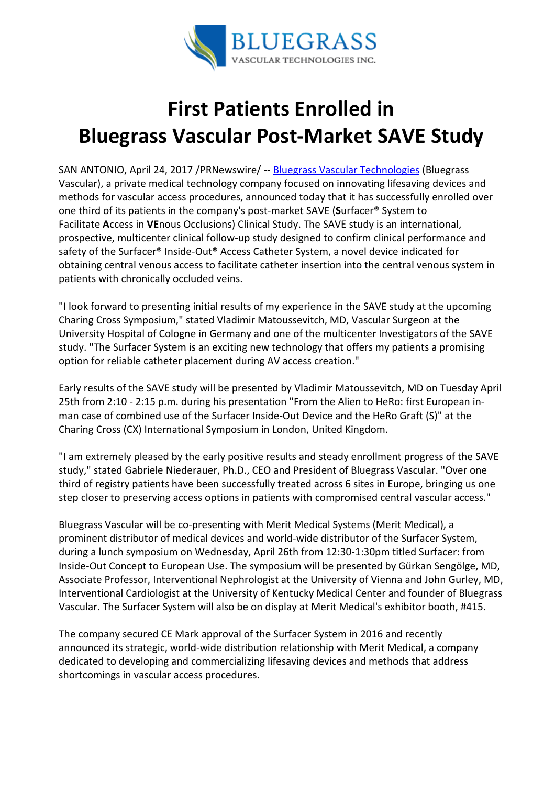

## First Patients Enrolled in Bluegrass Vascular Post-Market SAVE Study

SAN ANTONIO, April 24, 2017 /PRNewswire/ -- Bluegrass Vascular Technologies (Bluegrass Vascular), a private medical technology company focused on innovating lifesaving devices and methods for vascular access procedures, announced today that it has successfully enrolled over one third of its patients in the company's post-market SAVE (Surfacer® System to Facilitate Access in VEnous Occlusions) Clinical Study. The SAVE study is an international, prospective, multicenter clinical follow-up study designed to confirm clinical performance and safety of the Surfacer® Inside-Out® Access Catheter System, a novel device indicated for obtaining central venous access to facilitate catheter insertion into the central venous system in patients with chronically occluded veins.

"I look forward to presenting initial results of my experience in the SAVE study at the upcoming Charing Cross Symposium," stated Vladimir Matoussevitch, MD, Vascular Surgeon at the University Hospital of Cologne in Germany and one of the multicenter Investigators of the SAVE study. "The Surfacer System is an exciting new technology that offers my patients a promising option for reliable catheter placement during AV access creation."

Early results of the SAVE study will be presented by Vladimir Matoussevitch, MD on Tuesday April 25th from 2:10 - 2:15 p.m. during his presentation "From the Alien to HeRo: first European inman case of combined use of the Surfacer Inside-Out Device and the HeRo Graft (S)" at the Charing Cross (CX) International Symposium in London, United Kingdom.

"I am extremely pleased by the early positive results and steady enrollment progress of the SAVE study," stated Gabriele Niederauer, Ph.D., CEO and President of Bluegrass Vascular. "Over one third of registry patients have been successfully treated across 6 sites in Europe, bringing us one step closer to preserving access options in patients with compromised central vascular access."

Bluegrass Vascular will be co-presenting with Merit Medical Systems (Merit Medical), a prominent distributor of medical devices and world-wide distributor of the Surfacer System, during a lunch symposium on Wednesday, April 26th from 12:30-1:30pm titled Surfacer: from Inside-Out Concept to European Use. The symposium will be presented by Gürkan Sengölge, MD, Associate Professor, Interventional Nephrologist at the University of Vienna and John Gurley, MD, Interventional Cardiologist at the University of Kentucky Medical Center and founder of Bluegrass Vascular. The Surfacer System will also be on display at Merit Medical's exhibitor booth, #415.

The company secured CE Mark approval of the Surfacer System in 2016 and recently announced its strategic, world-wide distribution relationship with Merit Medical, a company dedicated to developing and commercializing lifesaving devices and methods that address shortcomings in vascular access procedures.